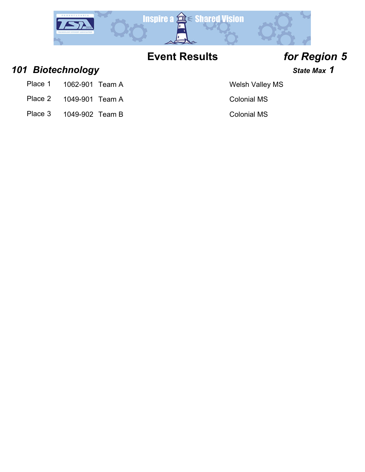

*101 Biotechnology State Max 1*

- Place 1 1062-901 Team A Welsh Valley MS
- Place 2 1049-901 Team A Colonial MS
- Place 3 1049-902 Team B Colonial MS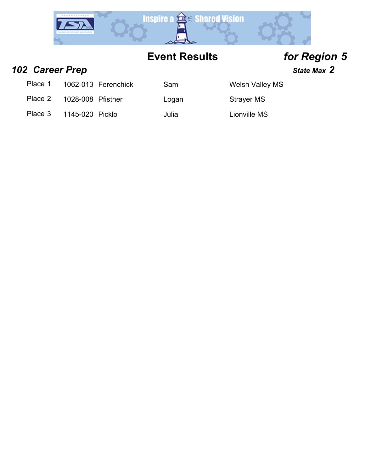

*102 Career Prep State Max 2*

Place 1 1062-013 Ferenchick Sam Welsh Valley MS

Place 2 1028-008 Pfistner Logan Strayer MS

Place 3 1145-020 Picklo Julia Julia Lionville MS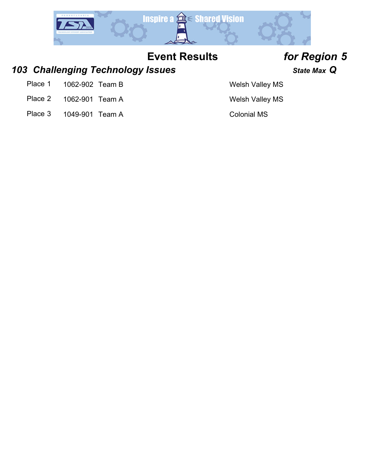

### *103 Challenging Technology Issues State Max Q*

- Place 1 1062-902 Team B Welsh Valley MS
- Place 2 1062-901 Team A Welsh Valley MS
- Place 3 1049-901 Team A Colonial MS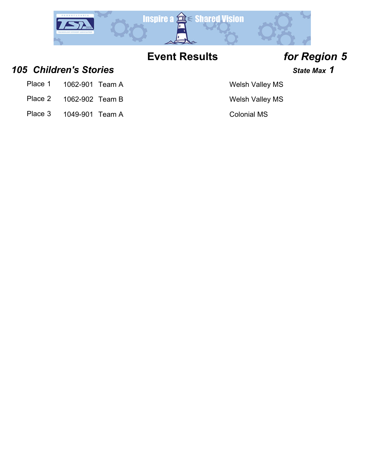

*105 Children's Stories State Max 1*

- Place 1 1062-901 Team A Welsh Valley MS
- Place 2 1062-902 Team B Welsh Valley MS
- Place 3 1049-901 Team A Colonial MS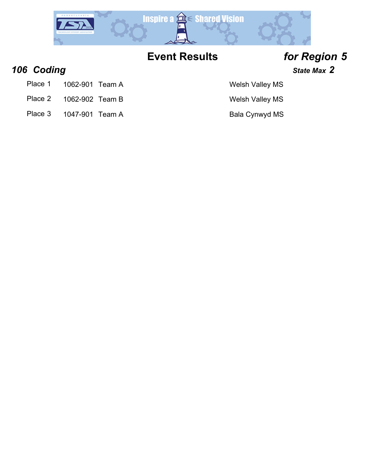

*106 Coding State Max 2*

- Place 1 1062-901 Team A Welsh Valley MS
- Place 2 1062-902 Team B Welsh Valley MS
- Place 3 1047-901 Team A Bala Cynwyd MS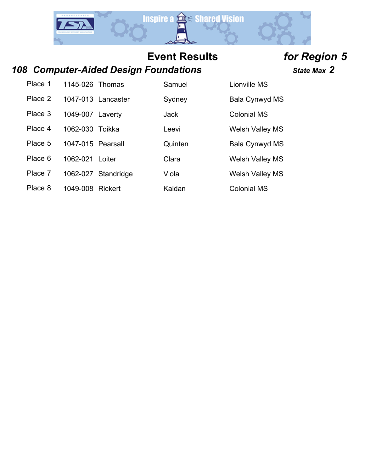

### *108 Computer-Aided Design Foundations State Max 2*

Place 1 1145-026 Thomas Samuel Lionville MS

Place 2 1047-013 Lancaster Sydney Bala Cynwyd MS

Place 3 1049-007 Laverty **Jack** Jack Colonial MS

Place 4 1062-030 Toikka Leevi Leevi Welsh Valley MS

Place 5 1047-015 Pearsall **Quinten** Bala Cynwyd MS

Place 6 1062-021 Loiter Clara Clara Welsh Valley MS

Place 7 1062-027 Standridge Viola Viola Welsh Valley MS

Place 8 1049-008 Rickert Kaidan Colonial MS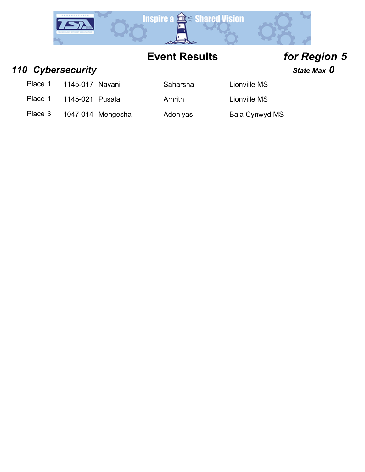

### **110 Cybersecurity State Max 0** State Max 0

- Place 1 1145-017 Navani Saharsha Lionville MS
- Place 1 1145-021 Pusala Amrith Lionville MS

Place 3 1047-014 Mengesha Adoniyas Bala Cynwyd MS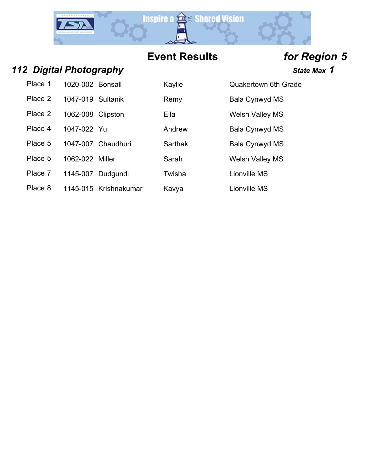

### *112 Digital Photography State Max 1*

| Place 1 | 1020-002 Bonsall  | Kaylie | Quakertown 6th C |
|---------|-------------------|--------|------------------|
| Place 2 | 1047-019 Sultanik | Remy   | Bala Cynwyd MS   |

- 
- 
- Place 4 1047-022 Yu Andrew Bala Cynwyd MS
- Place 5 1047-007 Chaudhuri Sarthak Bala Cynwyd MS
- Place 5 1062-022 Miller Sarah Sarah Welsh Valley MS
- Place 7 1145-007 Dudgundi Twisha Clionville MS
- Place 8 1145-015 Krishnakumar Kavya Kawa Lionville MS

Kaylie **221 Cuakertown 6th Grade** 

Place 2 1062-008 Clipston Ella Ella Welsh Valley MS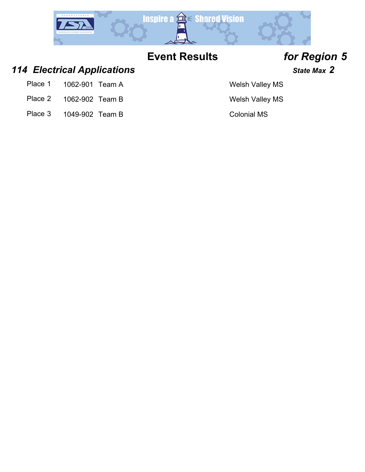

### *114 Electrical Applications State Max 2*

- Place 1 1062-901 Team A Welsh Valley MS
- Place 2 1062-902 Team B Welsh Valley MS
- Place 3 1049-902 Team B Colonial MS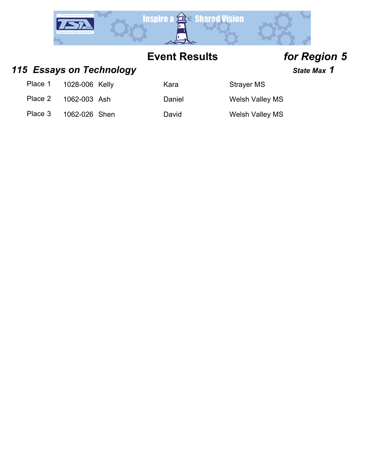

### 115 **Essays on Technology State Max 1** State Max 1

### Place 1 1028-006 Kelly Kara Kara Strayer MS

Place 2 1062-003 Ash Daniel Welsh Valley MS

Place 3 1062-026 Shen David David Welsh Valley MS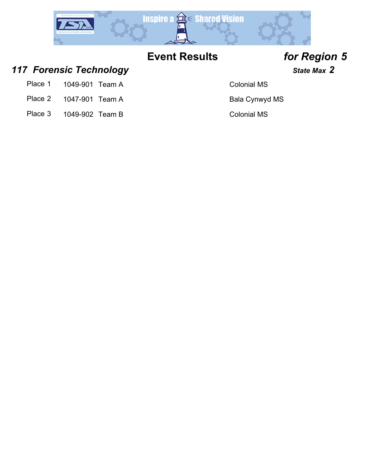

## *117 Forensic Technology State Max 2*

- Place 1 1049-901 Team A Colonial MS
- Place 2 1047-901 Team A Bala Cynwyd MS
- Place 3 1049-902 Team B Colonial MS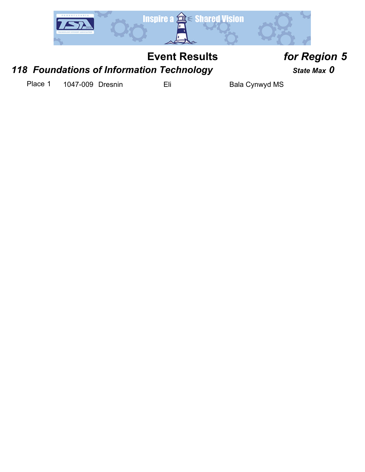

## *118 Foundations of Information Technology State Max 0*

Place 1 1047-009 Dresnin Eli Eli Bala Cynwyd MS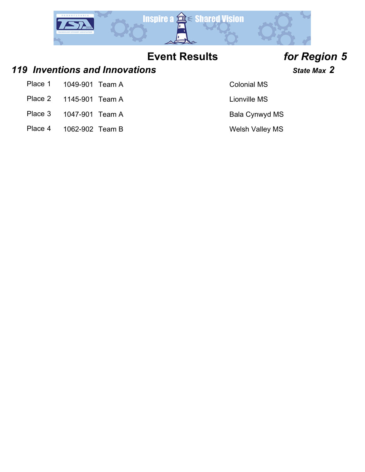

### *119 Inventions and Innovations State Max 2*

- Place 1 1049-901 Team A Colonial MS
- Place 2 1145-901 Team A Lionville MS
- Place 3 1047-901 Team A Bala Cynwyd MS
- Place 4 1062-902 Team B Welsh Valley MS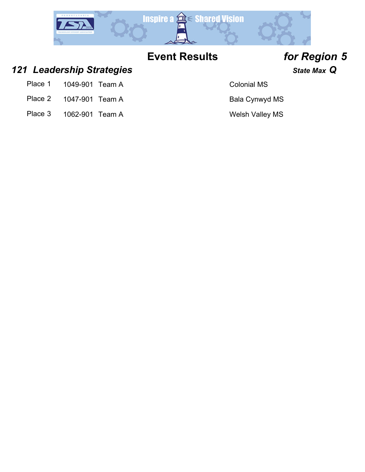

### *121 Leadership Strategies State Max Q*

- Place 1 1049-901 Team A Colonial MS
- Place 2 1047-901 Team A Bala Cynwyd MS
- Place 3 1062-901 Team A Welsh Valley MS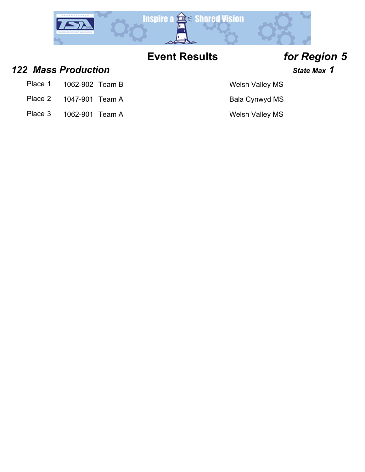

### *122 Mass Production State Max 1*

- Place 1 1062-902 Team B Welsh Valley MS
- Place 2 1047-901 Team A Bala Cynwyd MS
- Place 3 1062-901 Team A Welsh Valley MS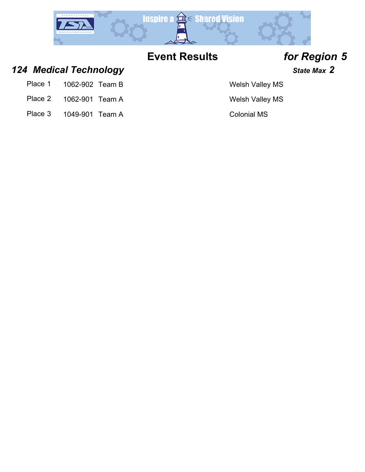

## *124 Medical Technology State Max 2*

- Place 1 1062-902 Team B Welsh Valley MS
- Place 2 1062-901 Team A Welsh Valley MS
- Place 3 1049-901 Team A Colonial MS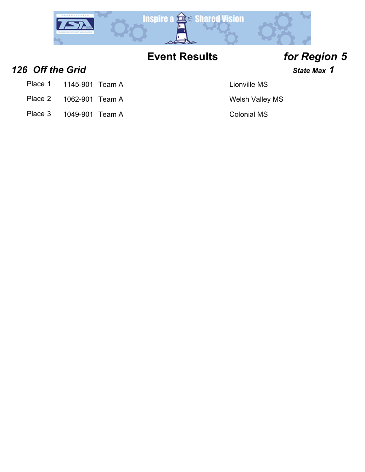

**126 Off the Grid 126 Off the Grid** *n***<sub>1</sub>**  $\frac{1}{2}$  **<b>***State Max* **1** 

- Place 1 1145-901 Team A Lionville MS
- Place 2 1062-901 Team A Welsh Valley MS
- Place 3 1049-901 Team A Colonial MS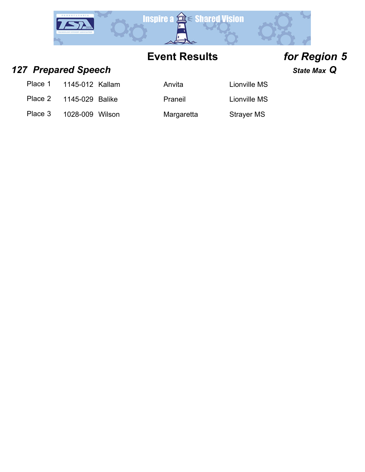

## *127 Prepared Speech State Max Q*

| Place 1<br>1145-012 Kallam |  |
|----------------------------|--|
|----------------------------|--|

Place 2 1145-029 Balike Praneil Christian Lionville MS

Place 3 1028-009 Wilson Margaretta Strayer MS

Anvita 11145-112 Lionville MS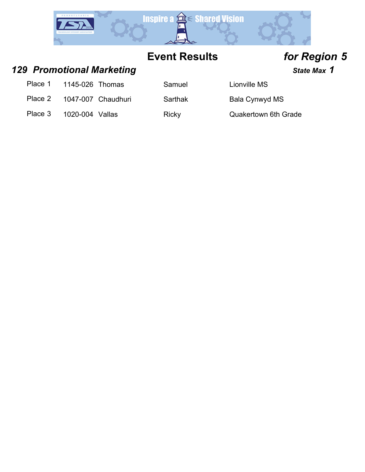

*129 Promotional Marketing State Max 1*

Place 1 1145-026 Thomas Samuel Lionville MS

Place 2 1047-007 Chaudhuri Sarthak Bala Cynwyd MS

Place 3 1020-004 Vallas Ricky Ricky Quakertown 6th Grade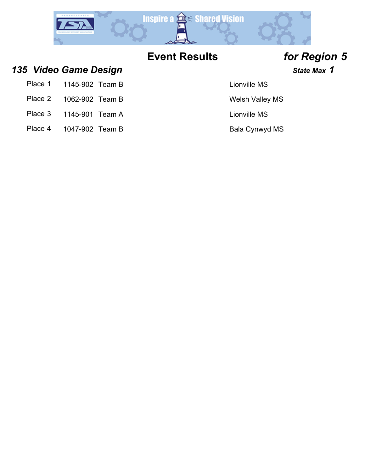

*135 Video Game Design State Max 1*

- Place 1 1145-902 Team B Lionville MS
- Place 2 1062-902 Team B Welsh Valley MS
- Place 3 1145-901 Team A Lionville MS
- Place 4 1047-902 Team B Bala Cynwyd MS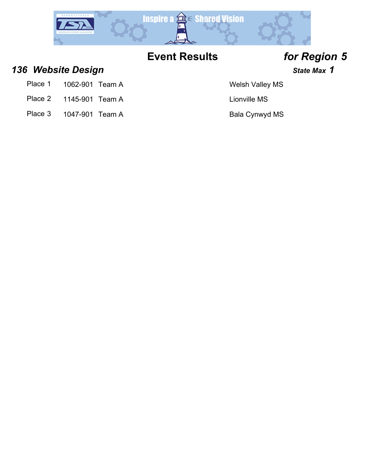

*136 Website Design State Max 1*

- Place 1 1062-901 Team A Welsh Valley MS
- Place 2 1145-901 Team A Lionville MS
- Place 3 1047-901 Team A Bala Cynwyd MS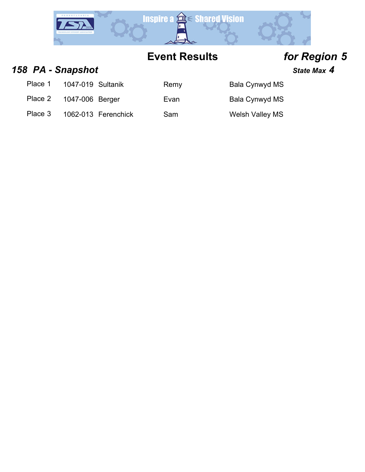

### *158 PA - Snapshot State Max 4*

Place 1 1047-019 Sultanik Remy Bala Cynwyd MS

Place 2 1047-006 Berger Evan Evan Bala Cynwyd MS

Place 3 1062-013 Ferenchick Sam Welsh Valley MS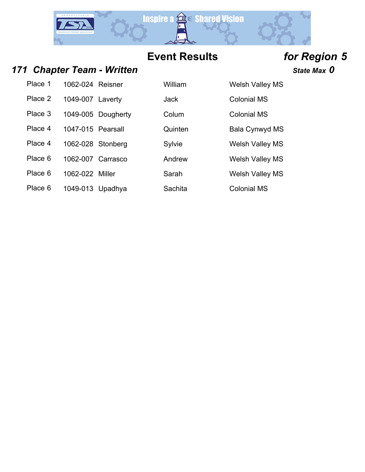

### *171 Chapter Team - Written State Max 0*

Place 1 1062-024 Reisner William Welsh Valley MS Place 2 1049-007 Laverty **Jack** Jack Colonial MS

Place 4 1047-015 Pearsall **Quinten** Bala Cynwyd MS

Place 4 1062-028 Stonberg Sylvie Welsh Valley MS

Place 6 1062-007 Carrasco Andrew Welsh Valley MS

Place 6 1049-013 Upadhya Sachita Colonial MS

Place 3 1049-005 Dougherty Colum Colonial MS

Place 6 1062-022 Miller Sarah Sarah Welsh Valley MS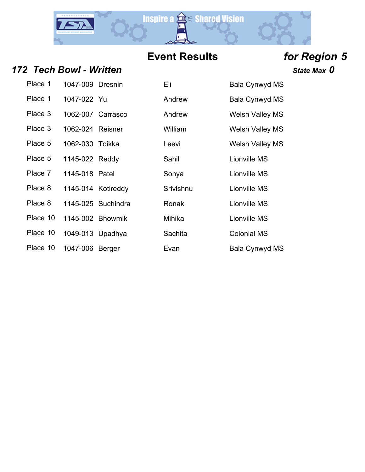

### *172 Tech Bowl - Written State Max 0*

| Place 1  | 1047-009 Dresnin  |                    | ElL.      | Bala Cynwy          |
|----------|-------------------|--------------------|-----------|---------------------|
| Place 1  | 1047-022 Yu       |                    | Andrew    | Bala Cynwy          |
| Place 3  | 1062-007 Carrasco |                    | Andrew    | <b>Welsh Valle</b>  |
| Place 3  | 1062-024 Reisner  |                    | William   | <b>Welsh Valle</b>  |
| Place 5  | 1062-030 Toikka   |                    | Leevi     | <b>Welsh Valle</b>  |
| Place 5  | 1145-022 Reddy    |                    | Sahil     | <b>Lionville MS</b> |
| Place 7  | 1145-018 Patel    |                    | Sonya     | <b>Lionville MS</b> |
| Place 8  |                   | 1145-014 Kotireddy | Srivishnu | <b>Lionville MS</b> |
| Place 8  |                   | 1145-025 Suchindra | Ronak     | <b>Lionville MS</b> |
| Place 10 |                   | 1145-002 Bhowmik   | Mihika    | <b>Lionville MS</b> |
| Place 10 | 1049-013 Upadhya  |                    | Sachita   | <b>Colonial MS</b>  |
| Place 10 | 1047-006 Berger   |                    | Fvan      | Bala Cynwy          |

| Place 1  | 1047-009 Dresnin  |                    | Eli       | Bala Cynwyd MS         |
|----------|-------------------|--------------------|-----------|------------------------|
| Place 1  | 1047-022 Yu       |                    | Andrew    | Bala Cynwyd MS         |
| Place 3  | 1062-007 Carrasco |                    | Andrew    | <b>Welsh Valley MS</b> |
| Place 3  | 1062-024 Reisner  |                    | William   | <b>Welsh Valley MS</b> |
| Place 5  | 1062-030 Toikka   |                    | Leevi     | <b>Welsh Valley MS</b> |
| Place 5  | 1145-022 Reddy    |                    | Sahil     | Lionville MS           |
| Place 7  | 1145-018 Patel    |                    | Sonya     | Lionville MS           |
| Place 8  |                   | 1145-014 Kotireddy | Srivishnu | Lionville MS           |
| Place 8  |                   | 1145-025 Suchindra | Ronak     | Lionville MS           |
| Place 10 | 1145-002 Bhowmik  |                    | Mihika    | Lionville MS           |
| Place 10 | 1049-013 Upadhya  |                    | Sachita   | <b>Colonial MS</b>     |
| Place 10 | 1047-006 Berger   |                    | Evan      | <b>Bala Cynwyd MS</b>  |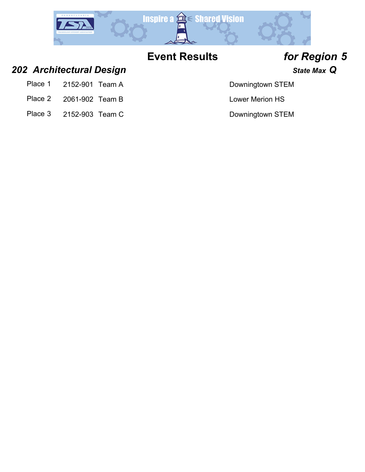

## *202 Architectural Design State Max Q*

- Place 1 2152-901 Team A Downingtown STEM
- Place 2 2061-902 Team B Lower Merion HS
- Place 3 2152-903 Team C Downingtown STEM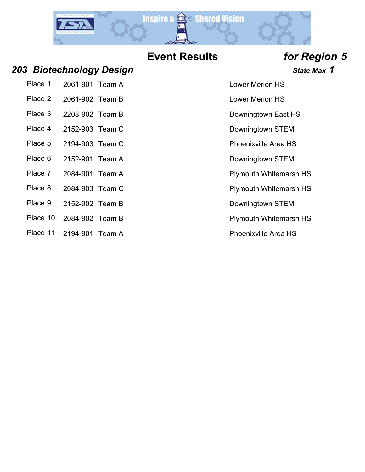

### *203 Biotechnology Design State Max 1*

| Place 1 | 2061-901 Team A |  |
|---------|-----------------|--|
|         |                 |  |

- Place 2 2061-902 Team B Lower Merion HS
- Place 3 2208-902 Team B Downingtown East HS
- Place 4 2152-903 Team C Downingtown STEM
- Place 5 2194-903 Team C Place 5 2194-903 Team C
- Place 6 2152-901 Team A Downingtown STEM
- Place 7 2084-901 Team A Plymouth Whitemarsh HS
- Place 8 2084-903 Team C Plymouth Whitemarsh HS
- Place 9 2152-902 Team B Downingtown STEM
- Place 10 2084-902 Team B Place 10 Plymouth Whitemarsh HS
- Place 11 2194-901 Team A Place 11 Phoenixville Area HS

**Lower Merion HS**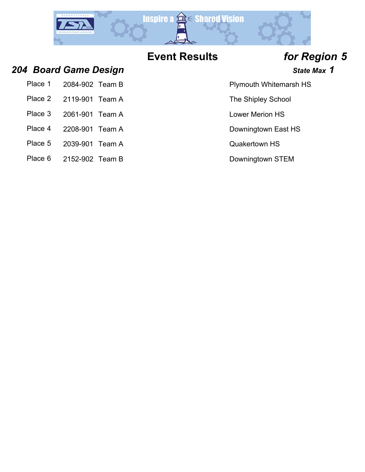

Plymouth Whitemarsh HS

The Shipley School

### *204 Board Game Design State Max 1*

| Place 1 2084-902 Team B |  |
|-------------------------|--|
| Place 2 2119-901 Team A |  |
|                         |  |

- Place 3 2061-901 Team A Lower Merion HS
- Place 4 2208-901 Team A Downingtown East HS
- Place 5 2039-901 Team A Contract Contract Contract Contract Contract Contract Contract Contract Contract Contract Contract Contract Contract Contract Contract Contract Contract Contract Contract Contract Contract Contract
- Place 6 2152-902 Team B Downingtown STEM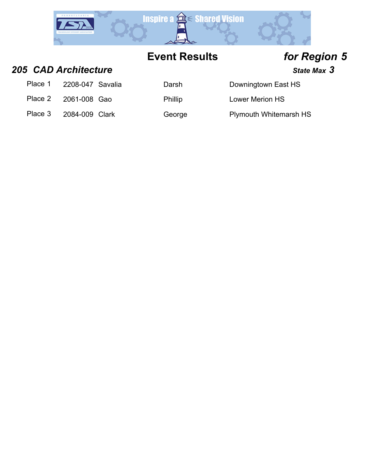

### **205 CAD Architecture State Max** 3

| Place 1 | 2208-047 Savalia | Darsh          | Downingtown East HS           |
|---------|------------------|----------------|-------------------------------|
| Place 2 | 2061-008 Gao     | <b>Phillip</b> | <b>Lower Merion HS</b>        |
| Place 3 | 2084-009 Clark   | George         | <b>Plymouth Whitemarsh HS</b> |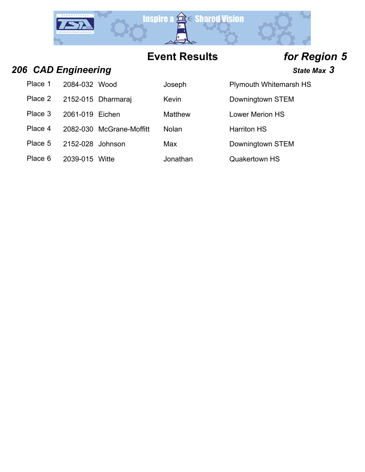

## **206 CAD Engineering State Max** 3

Place 1 2084-032 Wood Joseph Plymouth Whitemarsh HS

Place 2 2152-015 Dharmaraj Kevin Charmaraj Kevin Downingtown STEM

Place 3 2061-019 Eichen Matthew Lower Merion HS

Place 4 2082-030 McGrane-Moffitt Nolan Harriton HS

Place 5 2152-028 Johnson Max Downingtown STEM

Place 6 2039-015 Witte **Jonathan** Quakertown HS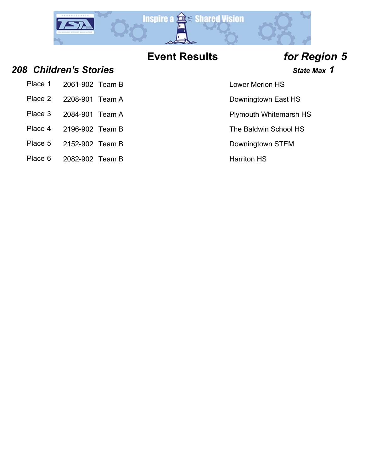

### *208 Children's Stories State Max 1*

- Place 2 2208-901 Team A Downingtown East HS
- 
- 
- 
- Place 5 2152-902 Team B Downingtown STEM
- Place 6 2082-902 Team B Harriton HS

### **Lower Merion HS**

- 
- Place 3 2084-901 Team A Plymouth Whitemarsh HS
- Place 4 2196-902 Team B The Baldwin School HS
	-
	-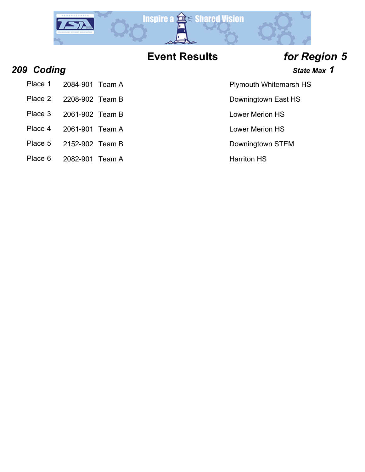

- 
- 
- 
- Place 4 2061-901 Team A Lower Merion HS
	-
	-

## **209 Coding Coding** *CODING CODING CODING* **<b>***State Max 1*

- Place 1 2084-901 Team A Plymouth Whitemarsh HS
- Place 2 2208-902 Team B Downingtown East HS
- Place 3 2061-902 Team B Lower Merion HS
- 
- 
- Place 5 2152-902 Team B Downingtown STEM
- Place 6 2082-901 Team A Harriton HS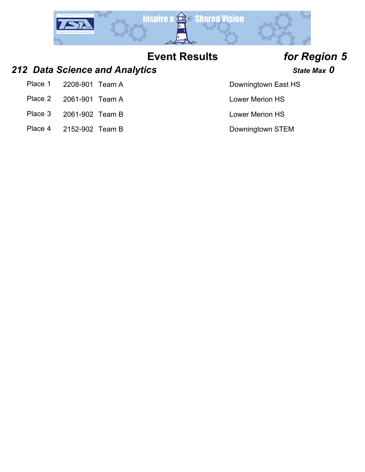

### **212 Data Science and Analytics State Max 0** State Max 0

- Place 1 2208-901 Team A Downingtown East HS
- Place 2 2061-901 Team A Lower Merion HS
- Place 3 2061-902 Team B Lower Merion HS
- Place 4 2152-902 Team B Downingtown STEM

- 
- 
-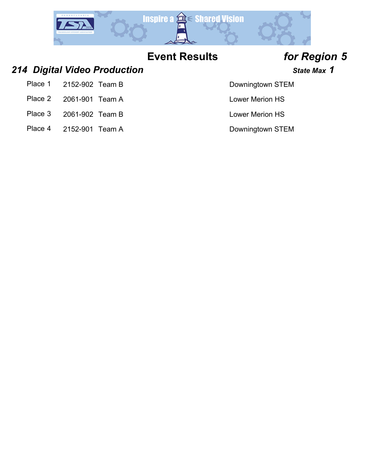

### *214 Digital Video Production State Max 1*

- Place 1 2152-902 Team B Downingtown STEM
- Place 2 2061-901 Team A Lower Merion HS
- Place 3 2061-902 Team B Lower Merion HS
- Place 4 2152-901 Team A Downingtown STEM

- 
- 
-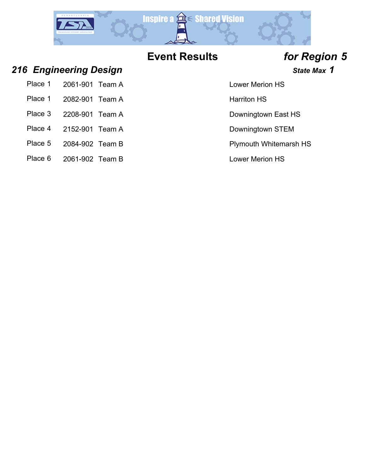

## *216 Engineering Design State Max 1*

|         | Place 1 2061-901 Team A |  |
|---------|-------------------------|--|
|         | Place 1 2082-901 Team A |  |
| Place 3 | 2208-901 Team A         |  |

- Place 4 2152-901 Team A Downingtown STEM
- Place 5 2084-902 Team B Place 5 2084-902 Team B
- Place 6 2061-902 Team B Lower Merion HS

Lower Merion HS

Harriton HS

Downingtown East HS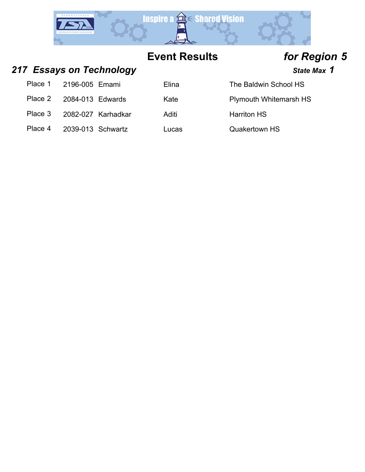

## 217 **Essays on Technology State Max 1** State Max 1

| Place 1 | 2196-005 Emami    |                    | Elina | The Baldwin School HS         |
|---------|-------------------|--------------------|-------|-------------------------------|
| Place 2 | 2084-013 Edwards  |                    | Kate  | <b>Plymouth Whitemarsh HS</b> |
| Place 3 |                   | 2082-027 Karhadkar | Aditi | <b>Harriton HS</b>            |
| Place 4 | 2039-013 Schwartz |                    | Lucas | <b>Quakertown HS</b>          |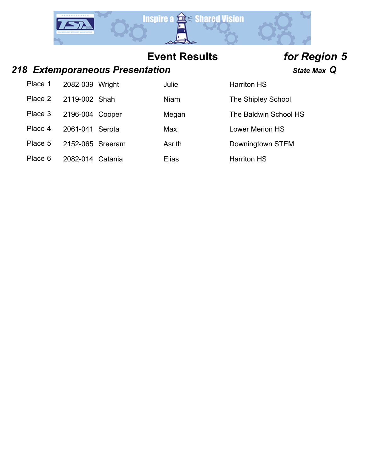

### *218 Extemporaneous Presentation State Max Q*

| Place 1 | 2082-039 Wright  | Julie  | <b>Harriton HS</b>     |
|---------|------------------|--------|------------------------|
| Place 2 | 2119-002 Shah    | Niam   | The Shipley School     |
| Place 3 | 2196-004 Cooper  | Megan  | The Baldwin School HS  |
| Place 4 | 2061-041 Serota  | Max    | <b>Lower Merion HS</b> |
| Place 5 | 2152-065 Sreeram | Asrith | Downingtown STEM       |
| Place 6 | 2082-014 Catania | Elias  | <b>Harriton HS</b>     |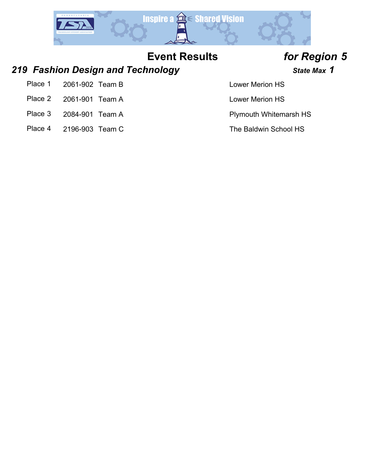

### *219 Fashion Design and Technology State Max 1*

- Place 1 2061-902 Team B Lower Merion HS
- Place 2 2061-901 Team A Lower Merion HS
- 
- Place 4 2196-903 Team C The Baldwin School HS

Place 3 2084-901 Team A Plymouth Whitemarsh HS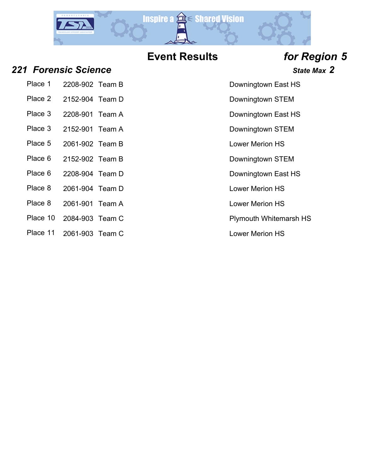

- *221 Forensic Science State Max 2*
	- Place 1 2208-902 Team B Downingtown East HS
	- Place 2 2152-904 Team D Downingtown STEM
	-
	-
	-
	- Place 5 2061-902 Team B Lower Merion HS
	- Place 6 2152-902 Team B Downingtown STEM
	- Place 6 2208-904 Team D Downingtown East HS
	- Place 8 2061-904 Team D Lower Merion HS
	- Place 8 2061-901 Team A Lower Merion HS
	- Place 10 2084-903 Team C Place 10 Plymouth Whitemarsh HS
	- Place 11 2061-903 Team C Lower Merion HS
- 
- 
- Place 3 2208-901 Team A Downingtown East HS
- Place 3 2152-901 Team A Downingtown STEM
	-
	-
	-
	-
	-
	- -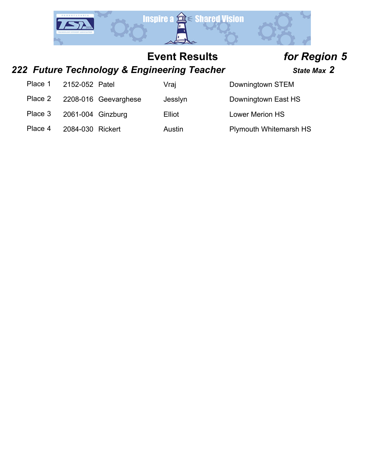

## *222 Future Technology & Engineering Teacher State Max 2*

| Place 1 | 2152-052 Patel    |                      | Vraj    | Downingtown STEM              |
|---------|-------------------|----------------------|---------|-------------------------------|
| Place 2 |                   | 2208-016 Geevarghese | Jesslyn | Downingtown East HS           |
| Place 3 | 2061-004 Ginzburg |                      | Elliot  | <b>Lower Merion HS</b>        |
| Place 4 | 2084-030 Rickert  |                      | Austin  | <b>Plymouth Whitemarsh HS</b> |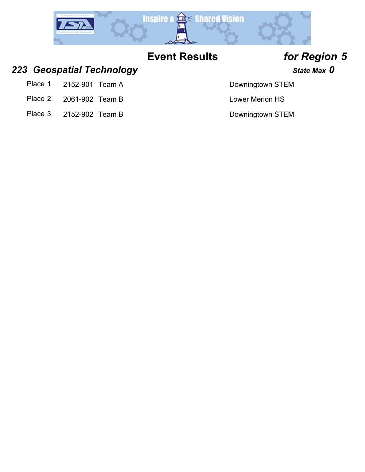

### **223** *Geospatial Technology* **State Max 0 State Max 0**

- Place 1 2152-901 Team A Downingtown STEM
- Place 2 2061-902 Team B Lower Merion HS
- Place 3 2152-902 Team B Downingtown STEM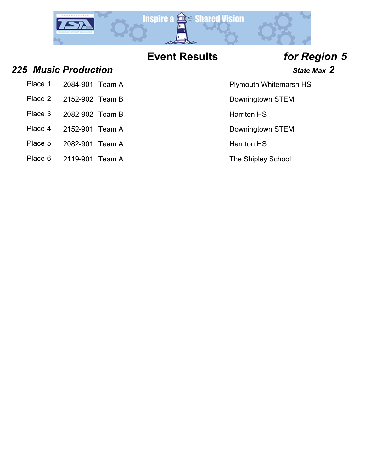

Place 4 2152-901 Team A Downingtown STEM

### **225** *Music Production* **State Max 2 325** *Music Production*

| Place 1 | 2084-901 Team A |  | <b>Plymouth Whitemarsh HS</b> |
|---------|-----------------|--|-------------------------------|
|---------|-----------------|--|-------------------------------|

- Place 2 2152-902 Team B Downingtown STEM
- Place 3 2082-902 Team B Harriton HS
- 
- 
- Place 5 2082-901 Team A Harriton HS
- Place 6 2119-901 Team A The Shipley School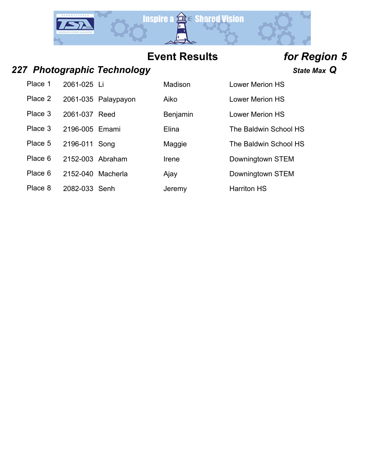

### *227 Photographic Technology State Max Q*

Place 1 2061-025 Li Madison Lower Merion HS Place 2 2061-035 Palaypayon Aiko Lower Merion HS

Place 5 2196-011 Song Maggie The Baldwin School HS

Place 6 2152-003 Abraham Irene Downingtown STEM

Place 6 2152-040 Macherla Ajay Charles Bowningtown STEM

Place 8 2082-033 Senh Jeremy Harriton HS

Place 3 2061-037 Reed Benjamin Lower Merion HS Place 3 2196-005 Emami Elina Elina The Baldwin School HS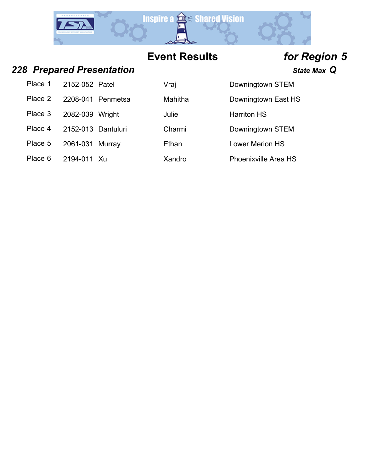

### *228 Prepared Presentation State Max Q*

| Place 1 | 2152-052 Patel     |                   | Vraj    | Downingtown STEM   |
|---------|--------------------|-------------------|---------|--------------------|
| Place 2 |                    | 2208-041 Penmetsa | Mahitha | Downingtown East H |
| Place 3 | 2082-039 Wright    |                   | Julie   | <b>Harriton HS</b> |
| Place 4 | 2152-013 Dantuluri |                   | Charmi  | Downingtown STEM   |
| Place 5 | 2061-031 Murray    |                   | Ethan   | Lower Merion HS    |
|         |                    |                   |         |                    |

Place 6 2194-011 Xu Xandro Mandro Phoenixville Area HS

| Vraj    |
|---------|
| Mahitha |
| Julie   |
| Charmi  |
| Ethan   |

| <b>Harriton HS</b> |  |
|--------------------|--|
| Downingtown STEM   |  |

Downingtown East HS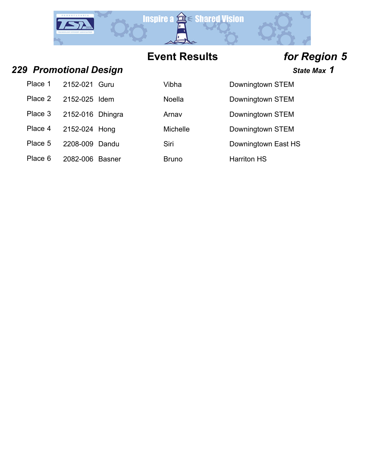

## *229 Promotional Design State Max 1*

|         | Place 1 2152-021 Guru | Vibha        | Downingtow         |
|---------|-----------------------|--------------|--------------------|
| Place 2 | 2152-025 Idem         | Noella       | Downingtow         |
| Place 3 | 2152-016 Dhingra      | Arnav        | Downingtow         |
|         | Place 4 2152-024 Hong | Michelle     | Downingtow         |
| Place 5 | 2208-009 Dandu        | Siri         | Downingtow         |
| Place 6 | 2082-006 Basner       | <b>Bruno</b> | <b>Harriton HS</b> |

|         | r rumununan Desiyin |              | JI.                 |
|---------|---------------------|--------------|---------------------|
| Place 1 | 2152-021 Guru       | Vibha        | Downingtown STEM    |
| Place 2 | 2152-025 Idem       | Noella       | Downingtown STEM    |
| Place 3 | 2152-016 Dhingra    | Arnav        | Downingtown STEM    |
| Place 4 | 2152-024 Hong       | Michelle     | Downingtown STEM    |
| Place 5 | 2208-009 Dandu      | Siri         | Downingtown East HS |
| Place 6 | 2082-006 Basner     | <b>Bruno</b> | <b>Harriton HS</b>  |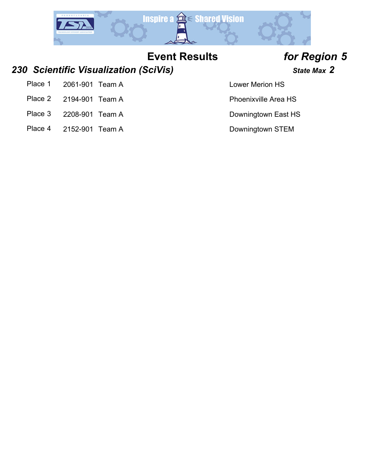

### *230 Scientific Visualization (SciVis) State Max 2*

- Place 1 2061-901 Team A Lower Merion HS
- Place 2 2194-901 Team A Place 2 2194-901 Team A
- Place 3 2208-901 Team A Downingtown East HS
- Place 4 2152-901 Team A Downingtown STEM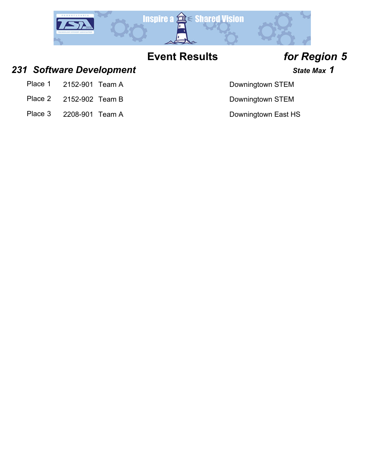

### 231 Software Development *231* State Max 1

- Place 1 2152-901 Team A Downingtown STEM
- Place 2 2152-902 Team B Downingtown STEM
- Place 3 2208-901 Team A Downingtown East HS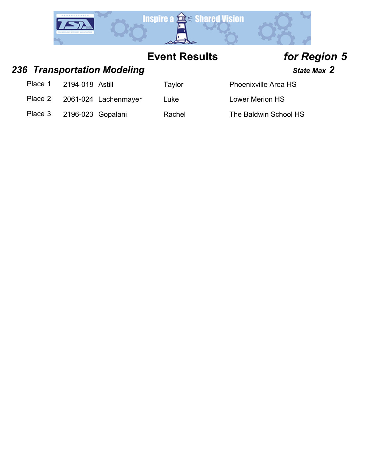

## 236 *Transportation Modeling* **State Max 2 State Max 2**

Place 1 2194-018 Astill Taylor

Place 2 2061-024 Lachenmayer Luke Lower Merion HS

| <b>Phoenixville Area HS</b> |  |
|-----------------------------|--|
|                             |  |

Place 3 2196-023 Gopalani Rachel The Baldwin School HS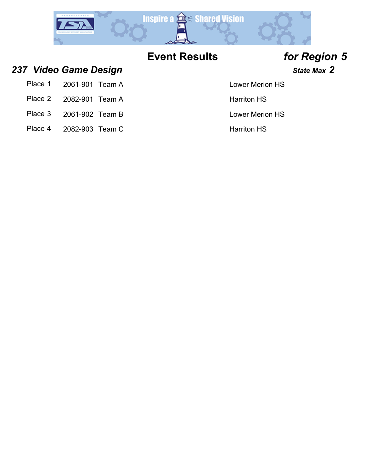

**237** *Video Game Design* **State Max 2 37** *State Max 2* 

| Place 1<br>2061-901 Team A |  |
|----------------------------|--|
|----------------------------|--|

- Place 2 2082-901 Team A Harriton HS
- Place 3 2061-902 Team B Lower Merion HS
- Place 4 2082-903 Team C Harriton HS

### Lower Merion HS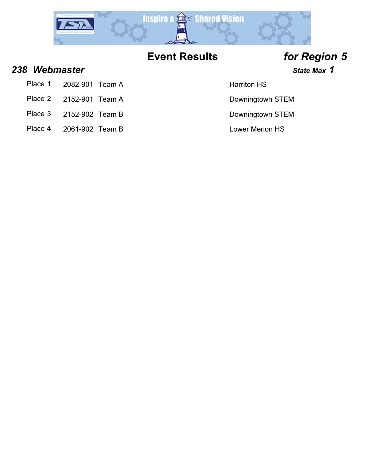

**238 Webmaster State Max 1** 

- Place 1 2082-901 Team A Harriton HS
- Place 2 2152-901 Team A Downingtown STEM
- Place 3 2152-902 Team B Downingtown STEM
- Place 4 2061-902 Team B Lower Merion HS

- 
- 
-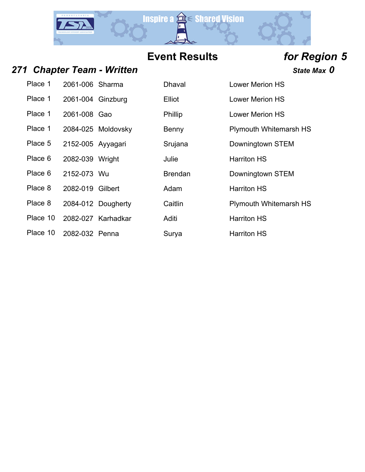

## 271 Chapter Team - Written *Chapter Team - Written* **State Max** 0

| Place 1  | 2061-006 Sharma   |                    | Dhaval         | <b>Lower Merid</b> |
|----------|-------------------|--------------------|----------------|--------------------|
| Place 1  | 2061-004 Ginzburg |                    | Elliot         | <b>Lower Merio</b> |
| Place 1  | 2061-008 Gao      |                    | <b>Phillip</b> | <b>Lower Merio</b> |
| Place 1  |                   | 2084-025 Moldovsky | Benny          | Plymouth W         |
| Place 5  | 2152-005 Ayyagari |                    | Srujana        | Downingtow         |
| Place 6  | 2082-039 Wright   |                    | Julie          | <b>Harriton HS</b> |
| Place 6  | 2152-073 Wu       |                    | <b>Brendan</b> | Downingtow         |
| Place 8  | 2082-019 Gilbert  |                    | Adam           | <b>Harriton HS</b> |
| Place 8  |                   | 2084-012 Dougherty | Caitlin        | Plymouth W         |
| Place 10 |                   | 2082-027 Karhadkar | Aditi          | <b>Harriton HS</b> |
| Place 10 | 2082-032 Penna    |                    | Surya          | <b>Harriton HS</b> |

| Place 1  | 2061-006 Sharma   |                    | <b>Dhaval</b>  | <b>Lower Merion HS</b>        |
|----------|-------------------|--------------------|----------------|-------------------------------|
| Place 1  | 2061-004 Ginzburg |                    | Elliot         | <b>Lower Merion HS</b>        |
| Place 1  | 2061-008 Gao      |                    | Phillip        | <b>Lower Merion HS</b>        |
| Place 1  |                   | 2084-025 Moldovsky | Benny          | <b>Plymouth Whitemarsh HS</b> |
| Place 5  | 2152-005 Ayyagari |                    | Srujana        | Downingtown STEM              |
| Place 6  | 2082-039 Wright   |                    | Julie          | <b>Harriton HS</b>            |
| Place 6  | 2152-073 Wu       |                    | <b>Brendan</b> | Downingtown STEM              |
| Place 8  | 2082-019 Gilbert  |                    | Adam           | <b>Harriton HS</b>            |
| Place 8  |                   | 2084-012 Dougherty | Caitlin        | <b>Plymouth Whitemarsh HS</b> |
| Place 10 |                   | 2082-027 Karhadkar | Aditi          | <b>Harriton HS</b>            |
| Place 10 | 2082-032 Penna    |                    | Surya          | <b>Harriton HS</b>            |